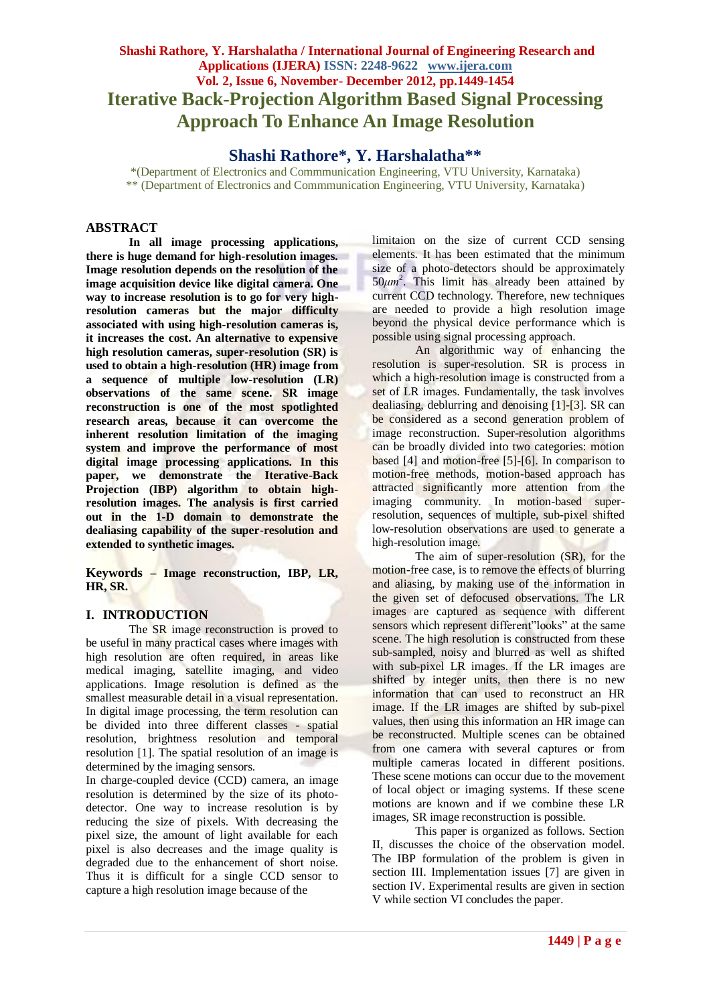# **Shashi Rathore, Y. Harshalatha / International Journal of Engineering Research and Applications (IJERA) ISSN: 2248-9622 www.ijera.com Vol. 2, Issue 6, November- December 2012, pp.1449-1454 Iterative Back-Projection Algorithm Based Signal Processing Approach To Enhance An Image Resolution**

## **Shashi Rathore\*, Y. Harshalatha\*\***

\*(Department of Electronics and Commmunication Engineering, VTU University, Karnataka) \*\* (Department of Electronics and Commmunication Engineering, VTU University, Karnataka)

#### **ABSTRACT**

**In all image processing applications, there is huge demand for high-resolution images. Image resolution depends on the resolution of the image acquisition device like digital camera. One way to increase resolution is to go for very highresolution cameras but the major difficulty associated with using high-resolution cameras is, it increases the cost. An alternative to expensive high resolution cameras, super-resolution (SR) is used to obtain a high-resolution (HR) image from a sequence of multiple low-resolution (LR) observations of the same scene. SR image reconstruction is one of the most spotlighted research areas, because it can overcome the inherent resolution limitation of the imaging system and improve the performance of most digital image processing applications. In this paper, we demonstrate the Iterative-Back Projection (IBP) algorithm to obtain highresolution images. The analysis is first carried out in the 1-D domain to demonstrate the dealiasing capability of the super-resolution and extended to synthetic images.**

**Keywords – Image reconstruction, IBP, LR, HR, SR.**

## **I. INTRODUCTION**

The SR image reconstruction is proved to be useful in many practical cases where images with high resolution are often required, in areas like medical imaging, satellite imaging, and video applications. Image resolution is defined as the smallest measurable detail in a visual representation. In digital image processing, the term resolution can be divided into three different classes - spatial resolution, brightness resolution and temporal resolution [1]. The spatial resolution of an image is determined by the imaging sensors.

In charge-coupled device (CCD) camera, an image resolution is determined by the size of its photodetector. One way to increase resolution is by reducing the size of pixels. With decreasing the pixel size, the amount of light available for each pixel is also decreases and the image quality is degraded due to the enhancement of short noise. Thus it is difficult for a single CCD sensor to capture a high resolution image because of the

limitaion on the size of current CCD sensing elements. It has been estimated that the minimum size of a photo-detectors should be approximately  $50 \mu m^2$ . This limit has already been attained by current CCD technology. Therefore, new techniques are needed to provide a high resolution image beyond the physical device performance which is possible using signal processing approach.

An algorithmic way of enhancing the resolution is super-resolution. SR is process in which a high-resolution image is constructed from a set of LR images. Fundamentally, the task involves dealiasing, deblurring and denoising [1]-[3]. SR can be considered as a second generation problem of image reconstruction. Super-resolution algorithms can be broadly divided into two categories: motion based [4] and motion-free [5]-[6]. In comparison to motion-free methods, motion-based approach has attracted significantly more attention from the imaging community. In motion-based superresolution, sequences of multiple, sub-pixel shifted low-resolution observations are used to generate a high-resolution image.

The aim of super-resolution (SR), for the motion-free case, is to remove the effects of blurring and aliasing, by making use of the information in the given set of defocused observations. The LR images are captured as sequence with different sensors which represent different"looks" at the same scene. The high resolution is constructed from these sub-sampled, noisy and blurred as well as shifted with sub-pixel LR images. If the LR images are shifted by integer units, then there is no new information that can used to reconstruct an HR image. If the LR images are shifted by sub-pixel values, then using this information an HR image can be reconstructed. Multiple scenes can be obtained from one camera with several captures or from multiple cameras located in different positions. These scene motions can occur due to the movement of local object or imaging systems. If these scene motions are known and if we combine these LR images, SR image reconstruction is possible.

This paper is organized as follows. Section II, discusses the choice of the observation model. The IBP formulation of the problem is given in section III. Implementation issues [7] are given in section IV. Experimental results are given in section V while section VI concludes the paper.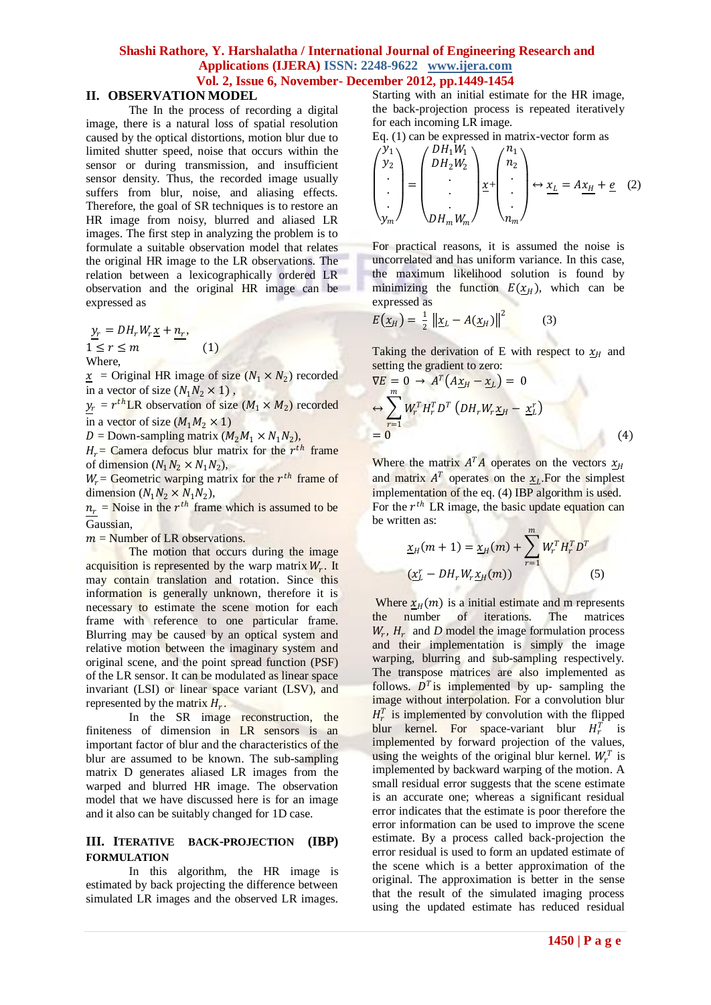### **II. OBSERVATION MODEL**

The In the process of recording a digital image, there is a natural loss of spatial resolution caused by the optical distortions, motion blur due to limited shutter speed, noise that occurs within the sensor or during transmission, and insufficient sensor density. Thus, the recorded image usually suffers from blur, noise, and aliasing effects. Therefore, the goal of SR techniques is to restore an HR image from noisy, blurred and aliased LR images. The first step in analyzing the problem is to formulate a suitable observation model that relates the original HR image to the LR observations. The relation between a lexicographically ordered LR observation and the original HR image can be expressed as

 $y_r = DH_r W_r \underline{x} + n_r,$  $1 \leq r \leq m$  (1) Where,

 $\underline{x}$  = Original HR image of size  $(N_1 \times N_2)$  recorded in a vector of size  $(N_1 N_2 \times 1)$ ,

 $y_r = r^{th}$ LR observation of size  $(M_1 \times M_2)$  recorded in a vector of size  $(M_1 M_2 \times 1)$ 

 $D =$  Down-sampling matrix  $(M_2M_1 \times N_1N_2)$ ,

 $H_r$  Camera defocus blur matrix for the  $r^{th}$  frame of dimension  $(N_1 N_2 \times N_1 N_2)$ ,

 $W_r$  = Geometric warping matrix for the  $r^{th}$  frame of dimension  $(N_1N_2 \times N_1N_2)$ ,

 $n_r$  = Noise in the  $r^{th}$  frame which is assumed to be Gaussian,

 $m =$  Number of LR observations.

The motion that occurs during the image acquisition is represented by the warp matrix  $W_r$ . It may contain translation and rotation. Since this information is generally unknown, therefore it is necessary to estimate the scene motion for each frame with reference to one particular frame. Blurring may be caused by an optical system and relative motion between the imaginary system and original scene, and the point spread function (PSF) of the LR sensor. It can be modulated as linear space invariant (LSI) or linear space variant (LSV), and represented by the matrix  $H_r$ .

In the SR image reconstruction, the finiteness of dimension in LR sensors is an important factor of blur and the characteristics of the blur are assumed to be known. The sub-sampling matrix D generates aliased LR images from the warped and blurred HR image. The observation model that we have discussed here is for an image and it also can be suitably changed for 1D case.

#### **III. ITERATIVE BACK-PROJECTION (IBP) FORMULATION**

In this algorithm, the HR image is estimated by back projecting the difference between simulated LR images and the observed LR images.

Starting with an initial estimate for the HR image, the back-projection process is repeated iteratively for each incoming LR image.

Eq. (1) can be expressed in matrix-vector form as

$$
\begin{pmatrix} y_1 \\ y_2 \\ \vdots \\ y_m \end{pmatrix} = \begin{pmatrix} DH_1 W_1 \\ DH_2 W_2 \\ \vdots \\ DH_m W_m \end{pmatrix} \underline{x} + \begin{pmatrix} n_1 \\ n_2 \\ \vdots \\ n_m \end{pmatrix} \leftrightarrow \underline{x}_L = A \underline{x}_H + \underline{e} \quad (2)
$$

For practical reasons, it is assumed the noise is uncorrelated and has uniform variance. In this case, the maximum likelihood solution is found by minimizing the function  $E(\chi_H)$ , which can be expressed as

$$
E(\underline{x}_H) = \frac{1}{2} \left\| \underline{x}_L - A(\underline{x}_H) \right\|^2 \tag{3}
$$

Taking the derivation of E with respect to  $x_H$  and setting the gradient to zero:

$$
\nabla E = 0 \rightarrow A^T (A \underline{x}_H - \underline{x}_L) = 0
$$
  
\n
$$
\Leftrightarrow \sum_{r=1}^m W_r^T H_r^T D^T (DH_r W_r \underline{x}_H - \underline{x}_L^r)
$$
  
\n
$$
= 0
$$
\n(4)

Where the matrix  $A^T A$  operates on the vectors  $x_H$ and matrix  $A^T$  operates on the  $x_L$ . For the simplest implementation of the eq. (4) IBP algorithm is used. For the  $r^{th}$  LR image, the basic update equation can be written as:

$$
\underline{x}_{H}(m+1) = \underline{x}_{H}(m) + \sum_{r=1}^{m} W_{r}^{T} H_{r}^{T} D^{T}
$$

$$
(\underline{x}_{L}^{T} - DH_{r} W_{r} \underline{x}_{H}(m))
$$
(5)

Where  $x_H(m)$  is a initial estimate and m represents the number of iterations. The matrices  $W_r$ ,  $H_r$  and *D* model the image formulation process and their implementation is simply the image warping, blurring and sub-sampling respectively. The transpose matrices are also implemented as follows.  $D<sup>T</sup>$  is implemented by up- sampling the image without interpolation. For a convolution blur  $H_r^T$  is implemented by convolution with the flipped blur kernel. For space-variant blur  $H_r^T$  is implemented by forward projection of the values, using the weights of the original blur kernel.  $W_r^T$  is implemented by backward warping of the motion. A small residual error suggests that the scene estimate is an accurate one; whereas a significant residual error indicates that the estimate is poor therefore the error information can be used to improve the scene estimate. By a process called back-projection the error residual is used to form an updated estimate of the scene which is a better approximation of the original. The approximation is better in the sense that the result of the simulated imaging process using the updated estimate has reduced residual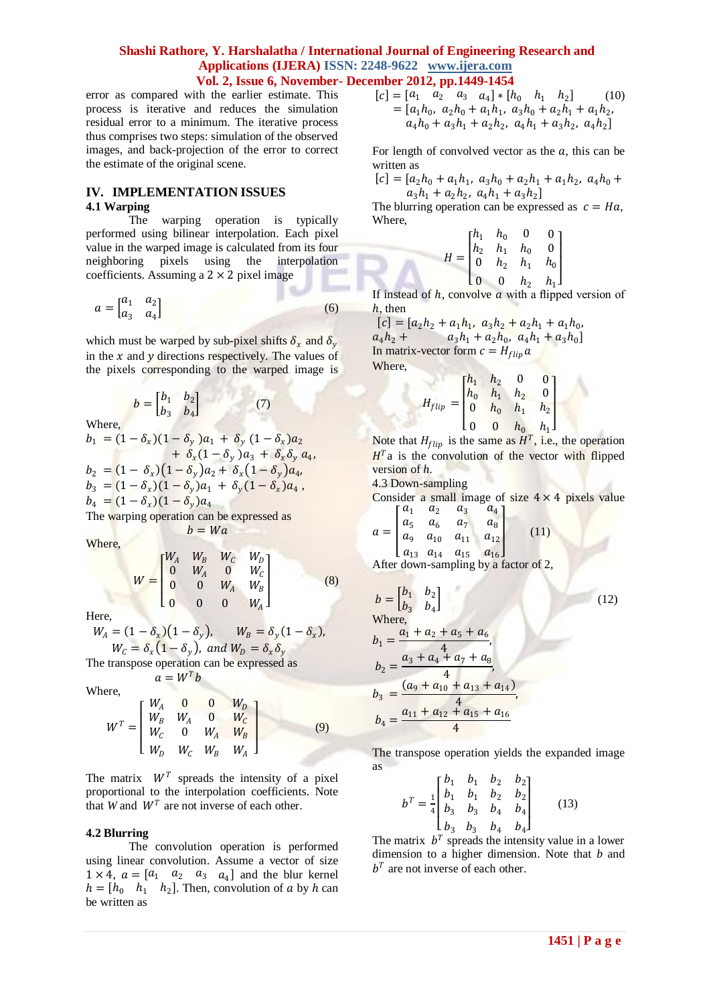error as compared with the earlier estimate. This process is iterative and reduces the simulation residual error to a minimum. The iterative process thus comprises two steps: simulation of the observed images, and back-projection of the error to correct the estimate of the original scene.

## **IV. IMPLEMENTATION ISSUES**

#### **4.1 Warping**

The warping operation is typically performed using bilinear interpolation. Each pixel value in the warped image is calculated from its four neighboring pixels using the interpolation coefficients. Assuming a  $2 \times 2$  pixel image

$$
a = \begin{bmatrix} a_1 & a_2 \\ a_3 & a_4 \end{bmatrix} \tag{6}
$$

which must be warped by sub-pixel shifts  $\delta_x$  and  $\delta_y$ in the  $x$  and  $y$  directions respectively. The values of the pixels corresponding to the warped image is

$$
b = \begin{bmatrix} b_1 & b_2 \\ b_3 & b_4 \end{bmatrix} \tag{7}
$$

Where,

$$
b_1 = (1 - \delta_x)(1 - \delta_y) a_1 + \delta_y (1 - \delta_x) a_2 + \delta_x (1 - \delta_y) a_3 + \delta_x \delta_y a_4,
$$
  
\n
$$
b_2 = (1 - \delta_x)(1 - \delta_y) a_2 + \delta_x (1 - \delta_y) a_4,
$$
  
\n
$$
b_3 = (1 - \delta_x)(1 - \delta_y) a_1 + \delta_y (1 - \delta_x) a_4,
$$
  
\n
$$
b_4 = (1 - \delta_x)(1 - \delta_y) a_4
$$

The warping operation can be expressed as  $b=Wa$ 

Where,

$$
W = \begin{bmatrix} W_A & W_B & W_C & W_D \\ 0 & W_A & 0 & W_C \\ 0 & 0 & W_A & W_B \\ 0 & 0 & 0 & W_A \end{bmatrix}
$$
 (8)

Here,

 $W_A = (1 - \delta_x)(1 - \delta_y), \qquad W_B = \delta_y(1 - \delta_x),$  $W_{\mathcal{C}}=\delta_{x}(1-\delta_{y})$ , and  $W_{\mathcal{D}}=\delta_{x}\delta_{y}$ 

The transpose operation can be expressed as

 $a = W^T b$ 

Where,

$$
W^{T} = \begin{bmatrix} W_{A} & 0 & 0 & W_{D} \\ W_{B} & W_{A} & 0 & W_{C} \\ W_{C} & 0 & W_{A} & W_{B} \\ W_{D} & W_{C} & W_{B} & W_{A} \end{bmatrix}
$$
(9)

The matrix  $W<sup>T</sup>$  spreads the intensity of a pixel proportional to the interpolation coefficients. Note that *W* and  $W<sup>T</sup>$  are not inverse of each other.

#### **4.2 Blurring**

The convolution operation is performed using linear convolution. Assume a vector of size  $1 \times 4$ ,  $a = [a_1 \ a_2 \ a_3 \ a_4]$  and the blur kernel  $h = [h_0 \quad h_1 \quad h_2]$ . Then, convolution of a by h can be written as

$$
[c] = [a_1 \ a_2 \ a_3 \ a_4] * [h_0 \ h_1 \ h_2] \qquad (10)
$$
  
=  $[a_1h_0, a_2h_0 + a_1h_1, a_3h_0 + a_2h_1 + a_1h_2,$   
 $a_4h_0 + a_3h_1 + a_2h_2, a_4h_1 + a_3h_2, a_4h_2]$ 

For length of convolved vector as the  $a$ , this can be written as

 $[c] = [a_2h_0 + a_1h_1, a_3h_0 + a_2h_1 + a_1h_2, a_4h_0 +$  $a_3h_1 + a_2h_2$ ,  $a_4h_1 + a_3h_2$ 

The blurring operation can be expressed as  $c = Ha$ , Where,

$$
H = \begin{bmatrix} h_1 & h_0 & 0 & 0 \\ h_2 & h_1 & h_0 & 0 \\ 0 & h_2 & h_1 & h_0 \\ 0 & 0 & h_2 & h_1 \end{bmatrix}
$$

If instead of  $h$ , convolve  $a$  with a flipped version of h, then

 $[c] = [a_2h_2 + a_1h_1, a_3h_2 + a_2h_1 + a_1h_0,$  $a_4h_2 + a_3h_1 + a_2h_0$ ,  $a_4h_1 + a_3h_0$ In matrix-vector form  $c = H_{flip} a$ Where,

$$
H_{flip} = \begin{bmatrix} h_1 & h_2 & 0 & 0 \\ h_0 & h_1 & h_2 & 0 \\ 0 & h_0 & h_1 & h_2 \\ 0 & 0 & h_0 & h_1 \end{bmatrix}
$$

Note that  $H_{flip}$  is the same as  $H^T$ , i.e., the operation  $H<sup>T</sup>$ a is the convolution of the vector with flipped version of *h*.

4.3 Down-sampling

Consider a small image of size  $4 \times 4$  pixels value  $a_1$   $a_2$   $a_3$   $a_4$ 

$$
a = \begin{bmatrix} a_5 & a_6 & a_7 & a_8 \\ a_9 & a_{10} & a_{11} & a_{12} \\ a_9 & a_{10} & a_{11} & a_{12} \end{bmatrix}
$$
 (11)

 $[a_{13} \ a_{14} \ a_{15} \ a_{16}]$ After down-sampling by a factor of 2,

$$
b = \begin{bmatrix} b_1 & b_2 \\ b_3 & b_4 \end{bmatrix}
$$
  
Where,  

$$
b_1 = \frac{a_1 + a_2 + a_5 + a_6}{4},
$$

$$
b_2 = \frac{a_3 + a_4 + a_7 + a_8}{4},
$$

$$
b_3 = \frac{(a_9 + a_{10} + a_{13} + a_{14})}{4},
$$

$$
b_4 = \frac{a_{11} + a_{12} + a_{15} + a_{16}}{4}
$$
 (12)

The transpose operation yields the expanded image as

$$
b^T = \frac{1}{4} \begin{bmatrix} b_1 & b_1 & b_2 & b_2 \\ b_1 & b_1 & b_2 & b_2 \\ b_3 & b_3 & b_4 & b_4 \\ b_3 & b_3 & b_4 & b_4 \end{bmatrix}
$$
 (13)

The matrix  $b^T$  spreads the intensity value in a lower dimension to a higher dimension. Note that *b* and  $b^T$  are not inverse of each other.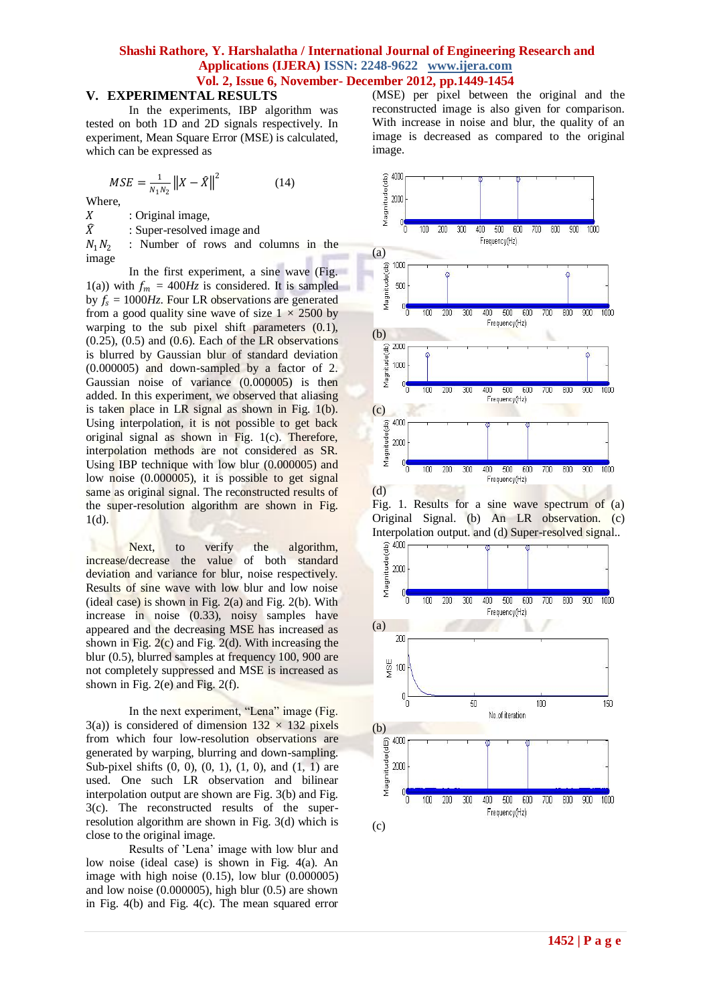#### **V. EXPERIMENTAL RESULTS**

In the experiments, IBP algorithm was tested on both 1D and 2D signals respectively. In experiment, Mean Square Error (MSE) is calculated, which can be expressed as

$$
MSE = \frac{1}{N_1 N_2} ||X - \hat{X}||^2
$$
 (14)

Where,

 $X$  : Original image,<br> $\widehat{X}$  : Super-resolved

: Super-resolved image and

 $N_1N_2$ : Number of rows and columns in the image

In the first experiment, a sine wave (Fig. 1(a)) with  $f_m = 400Hz$  is considered. It is sampled by  $f_s = 1000 Hz$ . Four LR observations are generated from a good quality sine wave of size  $1 \times 2500$  by warping to the sub pixel shift parameters  $(0.1)$ ,  $(0.25)$ ,  $(0.5)$  and  $(0.6)$ . Each of the LR observations is blurred by Gaussian blur of standard deviation (0.000005) and down-sampled by a factor of 2. Gaussian noise of variance (0.000005) is then added. In this experiment, we observed that aliasing is taken place in LR signal as shown in Fig. 1(b). Using interpolation, it is not possible to get back original signal as shown in Fig. 1(c). Therefore, interpolation methods are not considered as SR. Using IBP technique with low blur (0.000005) and low noise  $(0.000005)$ , it is possible to get signal same as original signal. The reconstructed results of the super-resolution algorithm are shown in Fig.  $1(d)$ .

Next, to verify the algorithm, increase/decrease the value of both standard deviation and variance for blur, noise respectively. Results of sine wave with low blur and low noise (ideal case) is shown in Fig.  $2(a)$  and Fig.  $2(b)$ . With increase in noise (0.33), noisy samples have appeared and the decreasing MSE has increased as shown in Fig.  $2(c)$  and Fig.  $2(d)$ . With increasing the blur (0.5), blurred samples at frequency 100, 900 are not completely suppressed and MSE is increased as shown in Fig. 2(e) and Fig. 2(f).

In the next experiment, "Lena" image (Fig. 3(a)) is considered of dimension  $132 \times 132$  pixels from which four low-resolution observations are generated by warping, blurring and down-sampling. Sub-pixel shifts (0*,* 0), (0*,* 1), (1*,* 0), and (1*,* 1) are used. One such LR observation and bilinear interpolation output are shown are Fig. 3(b) and Fig. 3(c). The reconstructed results of the superresolution algorithm are shown in Fig. 3(d) which is close to the original image.

Results of 'Lena' image with low blur and low noise (ideal case) is shown in Fig. 4(a). An image with high noise (0.15), low blur (0.000005) and low noise (0.000005), high blur (0.5) are shown in Fig. 4(b) and Fig. 4(c). The mean squared error (MSE) per pixel between the original and the reconstructed image is also given for comparison. With increase in noise and blur, the quality of an image is decreased as compared to the original image.





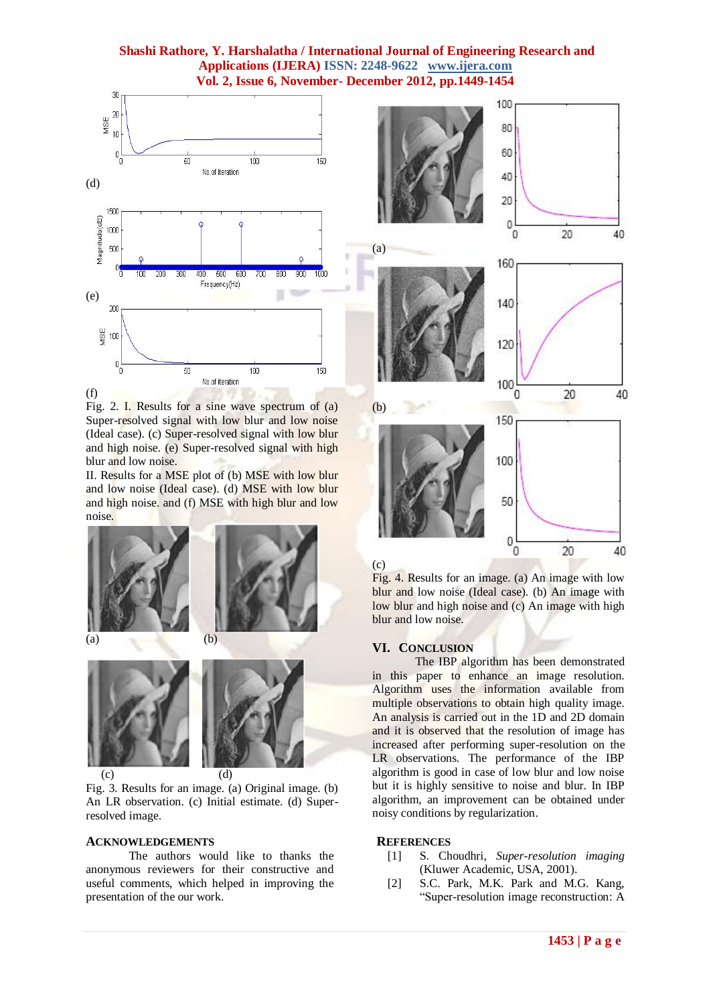

Fig. 2. I. Results for a sine wave spectrum of (a) Super-resolved signal with low blur and low noise (Ideal case). (c) Super-resolved signal with low blur and high noise. (e) Super-resolved signal with high blur and low noise.

II. Results for a MSE plot of (b) MSE with low blur and low noise (Ideal case). (d) MSE with low blur and high noise. and (f) MSE with high blur and low noise.







 (c) (d) Fig. 3. Results for an image. (a) Original image. (b) An LR observation. (c) Initial estimate. (d) Superresolved image.

## **ACKNOWLEDGEMENTS**

The authors would like to thanks the anonymous reviewers for their constructive and useful comments, which helped in improving the presentation of the our work.





Fig. 4. Results for an image. (a) An image with low blur and low noise (Ideal case). (b) An image with low blur and high noise and (c) An image with high blur and low noise.

#### **VI. CONCLUSION**

The IBP algorithm has been demonstrated in this paper to enhance an image resolution. Algorithm uses the information available from multiple observations to obtain high quality image. An analysis is carried out in the 1D and 2D domain and it is observed that the resolution of image has increased after performing super-resolution on the LR observations. The performance of the IBP algorithm is good in case of low blur and low noise but it is highly sensitive to noise and blur. In IBP algorithm, an improvement can be obtained under noisy conditions by regularization.

#### **REFERENCES**

- [1] S. Choudhri, *Super-resolution imaging*  (Kluwer Academic, USA, 2001).
- [2] S.C. Park, M.K. Park and M.G. Kang, "Super-resolution image reconstruction: A